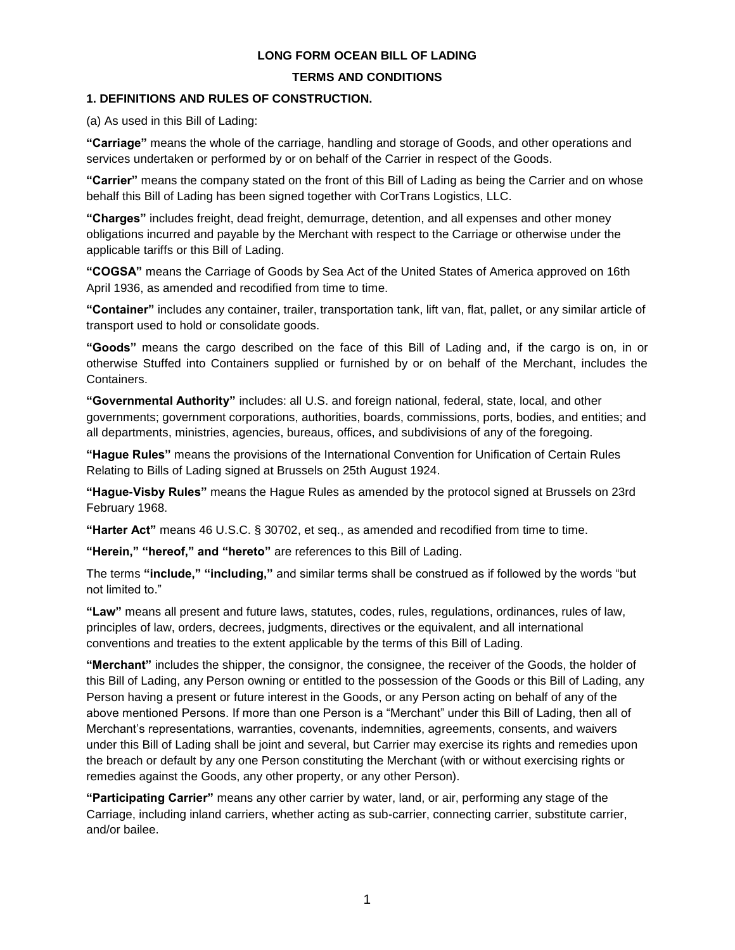#### **LONG FORM OCEAN BILL OF LADING**

#### **TERMS AND CONDITIONS**

#### **1. DEFINITIONS AND RULES OF CONSTRUCTION.**

(a) As used in this Bill of Lading:

**"Carriage"** means the whole of the carriage, handling and storage of Goods, and other operations and services undertaken or performed by or on behalf of the Carrier in respect of the Goods.

**"Carrier"** means the company stated on the front of this Bill of Lading as being the Carrier and on whose behalf this Bill of Lading has been signed together with CorTrans Logistics, LLC.

**"Charges"** includes freight, dead freight, demurrage, detention, and all expenses and other money obligations incurred and payable by the Merchant with respect to the Carriage or otherwise under the applicable tariffs or this Bill of Lading.

**"COGSA"** means the Carriage of Goods by Sea Act of the United States of America approved on 16th April 1936, as amended and recodified from time to time.

**"Container"** includes any container, trailer, transportation tank, lift van, flat, pallet, or any similar article of transport used to hold or consolidate goods.

**"Goods"** means the cargo described on the face of this Bill of Lading and, if the cargo is on, in or otherwise Stuffed into Containers supplied or furnished by or on behalf of the Merchant, includes the Containers.

**"Governmental Authority"** includes: all U.S. and foreign national, federal, state, local, and other governments; government corporations, authorities, boards, commissions, ports, bodies, and entities; and all departments, ministries, agencies, bureaus, offices, and subdivisions of any of the foregoing.

**"Hague Rules"** means the provisions of the International Convention for Unification of Certain Rules Relating to Bills of Lading signed at Brussels on 25th August 1924.

**"Hague-Visby Rules"** means the Hague Rules as amended by the protocol signed at Brussels on 23rd February 1968.

**"Harter Act"** means 46 U.S.C. § 30702, et seq., as amended and recodified from time to time.

**"Herein," "hereof," and "hereto"** are references to this Bill of Lading.

The terms **"include," "including,"** and similar terms shall be construed as if followed by the words "but not limited to."

**"Law"** means all present and future laws, statutes, codes, rules, regulations, ordinances, rules of law, principles of law, orders, decrees, judgments, directives or the equivalent, and all international conventions and treaties to the extent applicable by the terms of this Bill of Lading.

**"Merchant"** includes the shipper, the consignor, the consignee, the receiver of the Goods, the holder of this Bill of Lading, any Person owning or entitled to the possession of the Goods or this Bill of Lading, any Person having a present or future interest in the Goods, or any Person acting on behalf of any of the above mentioned Persons. If more than one Person is a "Merchant" under this Bill of Lading, then all of Merchant's representations, warranties, covenants, indemnities, agreements, consents, and waivers under this Bill of Lading shall be joint and several, but Carrier may exercise its rights and remedies upon the breach or default by any one Person constituting the Merchant (with or without exercising rights or remedies against the Goods, any other property, or any other Person).

**"Participating Carrier"** means any other carrier by water, land, or air, performing any stage of the Carriage, including inland carriers, whether acting as sub-carrier, connecting carrier, substitute carrier, and/or bailee.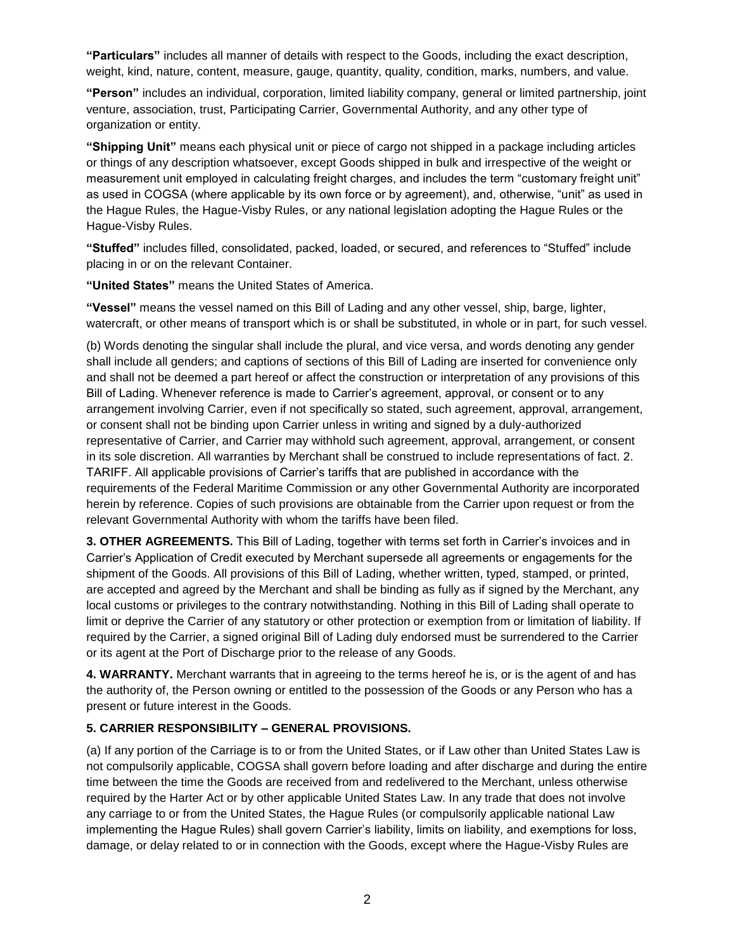**"Particulars"** includes all manner of details with respect to the Goods, including the exact description, weight, kind, nature, content, measure, gauge, quantity, quality, condition, marks, numbers, and value.

**"Person"** includes an individual, corporation, limited liability company, general or limited partnership, joint venture, association, trust, Participating Carrier, Governmental Authority, and any other type of organization or entity.

**"Shipping Unit"** means each physical unit or piece of cargo not shipped in a package including articles or things of any description whatsoever, except Goods shipped in bulk and irrespective of the weight or measurement unit employed in calculating freight charges, and includes the term "customary freight unit" as used in COGSA (where applicable by its own force or by agreement), and, otherwise, "unit" as used in the Hague Rules, the Hague-Visby Rules, or any national legislation adopting the Hague Rules or the Hague-Visby Rules.

**"Stuffed"** includes filled, consolidated, packed, loaded, or secured, and references to "Stuffed" include placing in or on the relevant Container.

**"United States"** means the United States of America.

**"Vessel"** means the vessel named on this Bill of Lading and any other vessel, ship, barge, lighter, watercraft, or other means of transport which is or shall be substituted, in whole or in part, for such vessel.

(b) Words denoting the singular shall include the plural, and vice versa, and words denoting any gender shall include all genders; and captions of sections of this Bill of Lading are inserted for convenience only and shall not be deemed a part hereof or affect the construction or interpretation of any provisions of this Bill of Lading. Whenever reference is made to Carrier's agreement, approval, or consent or to any arrangement involving Carrier, even if not specifically so stated, such agreement, approval, arrangement, or consent shall not be binding upon Carrier unless in writing and signed by a duly-authorized representative of Carrier, and Carrier may withhold such agreement, approval, arrangement, or consent in its sole discretion. All warranties by Merchant shall be construed to include representations of fact. 2. TARIFF. All applicable provisions of Carrier's tariffs that are published in accordance with the requirements of the Federal Maritime Commission or any other Governmental Authority are incorporated herein by reference. Copies of such provisions are obtainable from the Carrier upon request or from the relevant Governmental Authority with whom the tariffs have been filed.

**3. OTHER AGREEMENTS.** This Bill of Lading, together with terms set forth in Carrier's invoices and in Carrier's Application of Credit executed by Merchant supersede all agreements or engagements for the shipment of the Goods. All provisions of this Bill of Lading, whether written, typed, stamped, or printed, are accepted and agreed by the Merchant and shall be binding as fully as if signed by the Merchant, any local customs or privileges to the contrary notwithstanding. Nothing in this Bill of Lading shall operate to limit or deprive the Carrier of any statutory or other protection or exemption from or limitation of liability. If required by the Carrier, a signed original Bill of Lading duly endorsed must be surrendered to the Carrier or its agent at the Port of Discharge prior to the release of any Goods.

**4. WARRANTY.** Merchant warrants that in agreeing to the terms hereof he is, or is the agent of and has the authority of, the Person owning or entitled to the possession of the Goods or any Person who has a present or future interest in the Goods.

#### **5. CARRIER RESPONSIBILITY – GENERAL PROVISIONS.**

(a) If any portion of the Carriage is to or from the United States, or if Law other than United States Law is not compulsorily applicable, COGSA shall govern before loading and after discharge and during the entire time between the time the Goods are received from and redelivered to the Merchant, unless otherwise required by the Harter Act or by other applicable United States Law. In any trade that does not involve any carriage to or from the United States, the Hague Rules (or compulsorily applicable national Law implementing the Hague Rules) shall govern Carrier's liability, limits on liability, and exemptions for loss, damage, or delay related to or in connection with the Goods, except where the Hague-Visby Rules are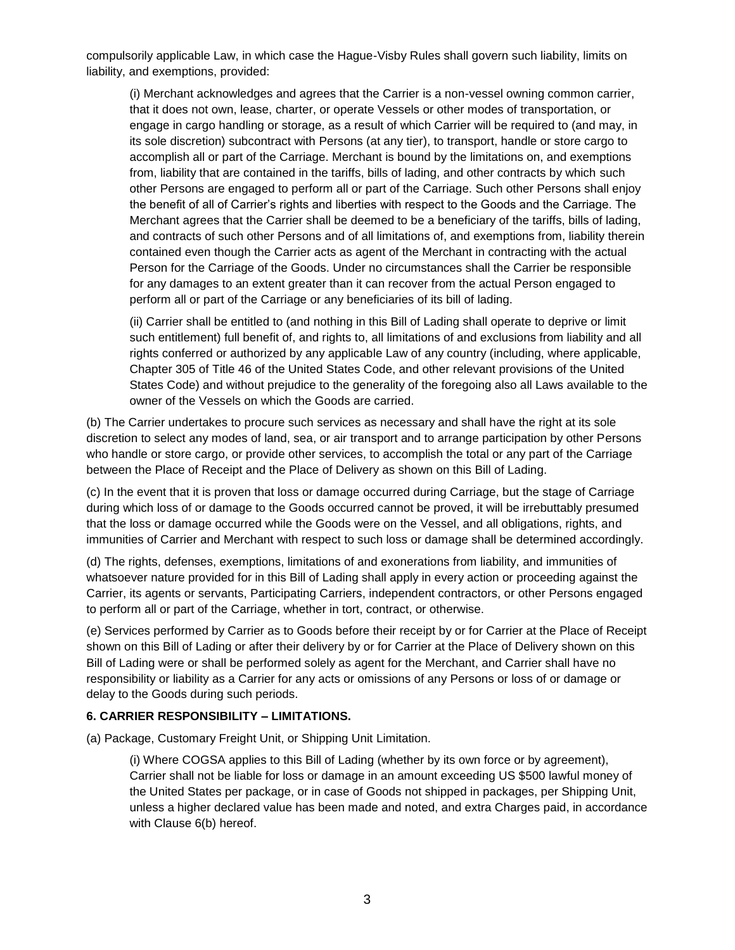compulsorily applicable Law, in which case the Hague-Visby Rules shall govern such liability, limits on liability, and exemptions, provided:

(i) Merchant acknowledges and agrees that the Carrier is a non-vessel owning common carrier, that it does not own, lease, charter, or operate Vessels or other modes of transportation, or engage in cargo handling or storage, as a result of which Carrier will be required to (and may, in its sole discretion) subcontract with Persons (at any tier), to transport, handle or store cargo to accomplish all or part of the Carriage. Merchant is bound by the limitations on, and exemptions from, liability that are contained in the tariffs, bills of lading, and other contracts by which such other Persons are engaged to perform all or part of the Carriage. Such other Persons shall enjoy the benefit of all of Carrier's rights and liberties with respect to the Goods and the Carriage. The Merchant agrees that the Carrier shall be deemed to be a beneficiary of the tariffs, bills of lading, and contracts of such other Persons and of all limitations of, and exemptions from, liability therein contained even though the Carrier acts as agent of the Merchant in contracting with the actual Person for the Carriage of the Goods. Under no circumstances shall the Carrier be responsible for any damages to an extent greater than it can recover from the actual Person engaged to perform all or part of the Carriage or any beneficiaries of its bill of lading.

(ii) Carrier shall be entitled to (and nothing in this Bill of Lading shall operate to deprive or limit such entitlement) full benefit of, and rights to, all limitations of and exclusions from liability and all rights conferred or authorized by any applicable Law of any country (including, where applicable, Chapter 305 of Title 46 of the United States Code, and other relevant provisions of the United States Code) and without prejudice to the generality of the foregoing also all Laws available to the owner of the Vessels on which the Goods are carried.

(b) The Carrier undertakes to procure such services as necessary and shall have the right at its sole discretion to select any modes of land, sea, or air transport and to arrange participation by other Persons who handle or store cargo, or provide other services, to accomplish the total or any part of the Carriage between the Place of Receipt and the Place of Delivery as shown on this Bill of Lading.

(c) In the event that it is proven that loss or damage occurred during Carriage, but the stage of Carriage during which loss of or damage to the Goods occurred cannot be proved, it will be irrebuttably presumed that the loss or damage occurred while the Goods were on the Vessel, and all obligations, rights, and immunities of Carrier and Merchant with respect to such loss or damage shall be determined accordingly.

(d) The rights, defenses, exemptions, limitations of and exonerations from liability, and immunities of whatsoever nature provided for in this Bill of Lading shall apply in every action or proceeding against the Carrier, its agents or servants, Participating Carriers, independent contractors, or other Persons engaged to perform all or part of the Carriage, whether in tort, contract, or otherwise.

(e) Services performed by Carrier as to Goods before their receipt by or for Carrier at the Place of Receipt shown on this Bill of Lading or after their delivery by or for Carrier at the Place of Delivery shown on this Bill of Lading were or shall be performed solely as agent for the Merchant, and Carrier shall have no responsibility or liability as a Carrier for any acts or omissions of any Persons or loss of or damage or delay to the Goods during such periods.

#### **6. CARRIER RESPONSIBILITY – LIMITATIONS.**

(a) Package, Customary Freight Unit, or Shipping Unit Limitation.

(i) Where COGSA applies to this Bill of Lading (whether by its own force or by agreement), Carrier shall not be liable for loss or damage in an amount exceeding US \$500 lawful money of the United States per package, or in case of Goods not shipped in packages, per Shipping Unit, unless a higher declared value has been made and noted, and extra Charges paid, in accordance with Clause 6(b) hereof.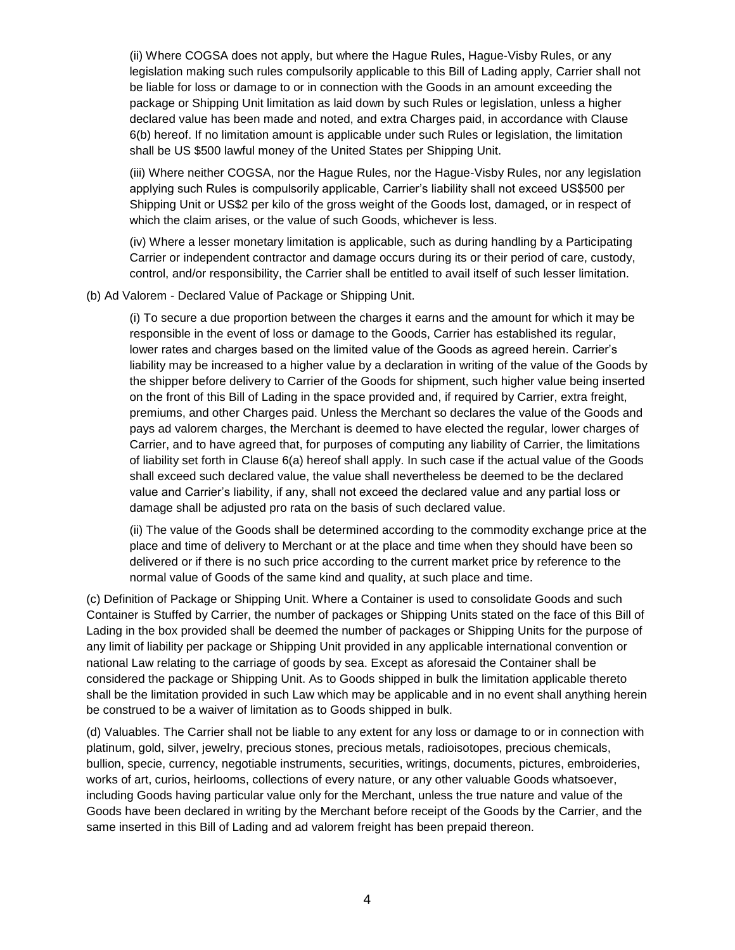(ii) Where COGSA does not apply, but where the Hague Rules, Hague-Visby Rules, or any legislation making such rules compulsorily applicable to this Bill of Lading apply, Carrier shall not be liable for loss or damage to or in connection with the Goods in an amount exceeding the package or Shipping Unit limitation as laid down by such Rules or legislation, unless a higher declared value has been made and noted, and extra Charges paid, in accordance with Clause 6(b) hereof. If no limitation amount is applicable under such Rules or legislation, the limitation shall be US \$500 lawful money of the United States per Shipping Unit.

(iii) Where neither COGSA, nor the Hague Rules, nor the Hague-Visby Rules, nor any legislation applying such Rules is compulsorily applicable, Carrier's liability shall not exceed US\$500 per Shipping Unit or US\$2 per kilo of the gross weight of the Goods lost, damaged, or in respect of which the claim arises, or the value of such Goods, whichever is less.

(iv) Where a lesser monetary limitation is applicable, such as during handling by a Participating Carrier or independent contractor and damage occurs during its or their period of care, custody, control, and/or responsibility, the Carrier shall be entitled to avail itself of such lesser limitation.

(b) Ad Valorem - Declared Value of Package or Shipping Unit.

(i) To secure a due proportion between the charges it earns and the amount for which it may be responsible in the event of loss or damage to the Goods, Carrier has established its regular, lower rates and charges based on the limited value of the Goods as agreed herein. Carrier's liability may be increased to a higher value by a declaration in writing of the value of the Goods by the shipper before delivery to Carrier of the Goods for shipment, such higher value being inserted on the front of this Bill of Lading in the space provided and, if required by Carrier, extra freight, premiums, and other Charges paid. Unless the Merchant so declares the value of the Goods and pays ad valorem charges, the Merchant is deemed to have elected the regular, lower charges of Carrier, and to have agreed that, for purposes of computing any liability of Carrier, the limitations of liability set forth in Clause 6(a) hereof shall apply. In such case if the actual value of the Goods shall exceed such declared value, the value shall nevertheless be deemed to be the declared value and Carrier's liability, if any, shall not exceed the declared value and any partial loss or damage shall be adjusted pro rata on the basis of such declared value.

(ii) The value of the Goods shall be determined according to the commodity exchange price at the place and time of delivery to Merchant or at the place and time when they should have been so delivered or if there is no such price according to the current market price by reference to the normal value of Goods of the same kind and quality, at such place and time.

(c) Definition of Package or Shipping Unit. Where a Container is used to consolidate Goods and such Container is Stuffed by Carrier, the number of packages or Shipping Units stated on the face of this Bill of Lading in the box provided shall be deemed the number of packages or Shipping Units for the purpose of any limit of liability per package or Shipping Unit provided in any applicable international convention or national Law relating to the carriage of goods by sea. Except as aforesaid the Container shall be considered the package or Shipping Unit. As to Goods shipped in bulk the limitation applicable thereto shall be the limitation provided in such Law which may be applicable and in no event shall anything herein be construed to be a waiver of limitation as to Goods shipped in bulk.

(d) Valuables. The Carrier shall not be liable to any extent for any loss or damage to or in connection with platinum, gold, silver, jewelry, precious stones, precious metals, radioisotopes, precious chemicals, bullion, specie, currency, negotiable instruments, securities, writings, documents, pictures, embroideries, works of art, curios, heirlooms, collections of every nature, or any other valuable Goods whatsoever, including Goods having particular value only for the Merchant, unless the true nature and value of the Goods have been declared in writing by the Merchant before receipt of the Goods by the Carrier, and the same inserted in this Bill of Lading and ad valorem freight has been prepaid thereon.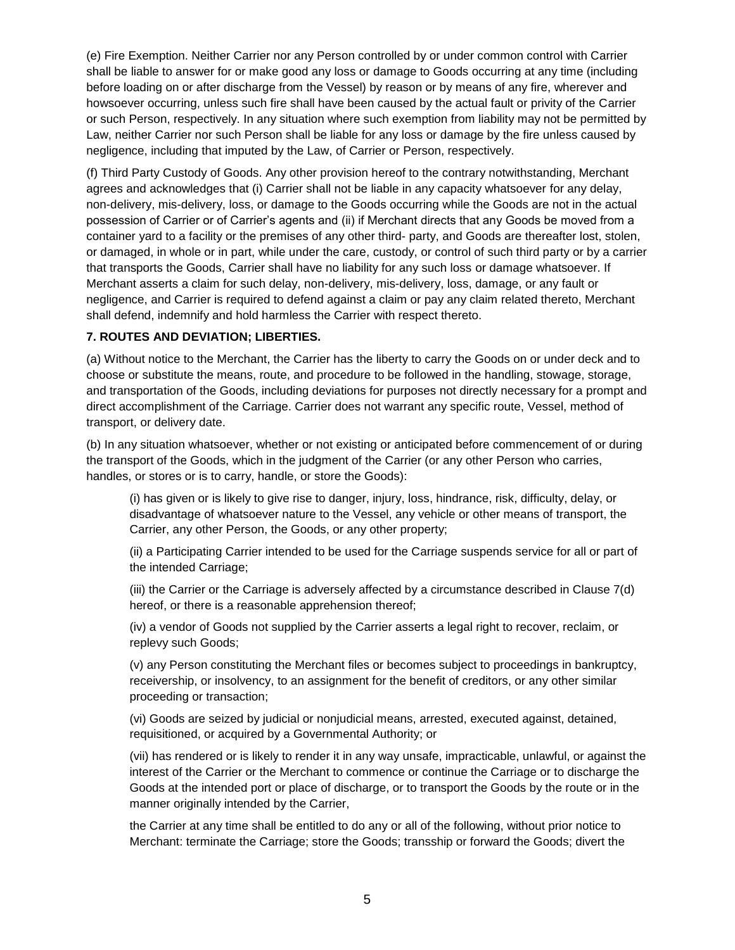(e) Fire Exemption. Neither Carrier nor any Person controlled by or under common control with Carrier shall be liable to answer for or make good any loss or damage to Goods occurring at any time (including before loading on or after discharge from the Vessel) by reason or by means of any fire, wherever and howsoever occurring, unless such fire shall have been caused by the actual fault or privity of the Carrier or such Person, respectively. In any situation where such exemption from liability may not be permitted by Law, neither Carrier nor such Person shall be liable for any loss or damage by the fire unless caused by negligence, including that imputed by the Law, of Carrier or Person, respectively.

(f) Third Party Custody of Goods. Any other provision hereof to the contrary notwithstanding, Merchant agrees and acknowledges that (i) Carrier shall not be liable in any capacity whatsoever for any delay, non-delivery, mis-delivery, loss, or damage to the Goods occurring while the Goods are not in the actual possession of Carrier or of Carrier's agents and (ii) if Merchant directs that any Goods be moved from a container yard to a facility or the premises of any other third- party, and Goods are thereafter lost, stolen, or damaged, in whole or in part, while under the care, custody, or control of such third party or by a carrier that transports the Goods, Carrier shall have no liability for any such loss or damage whatsoever. If Merchant asserts a claim for such delay, non-delivery, mis-delivery, loss, damage, or any fault or negligence, and Carrier is required to defend against a claim or pay any claim related thereto, Merchant shall defend, indemnify and hold harmless the Carrier with respect thereto.

# **7. ROUTES AND DEVIATION; LIBERTIES.**

(a) Without notice to the Merchant, the Carrier has the liberty to carry the Goods on or under deck and to choose or substitute the means, route, and procedure to be followed in the handling, stowage, storage, and transportation of the Goods, including deviations for purposes not directly necessary for a prompt and direct accomplishment of the Carriage. Carrier does not warrant any specific route, Vessel, method of transport, or delivery date.

(b) In any situation whatsoever, whether or not existing or anticipated before commencement of or during the transport of the Goods, which in the judgment of the Carrier (or any other Person who carries, handles, or stores or is to carry, handle, or store the Goods):

(i) has given or is likely to give rise to danger, injury, loss, hindrance, risk, difficulty, delay, or disadvantage of whatsoever nature to the Vessel, any vehicle or other means of transport, the Carrier, any other Person, the Goods, or any other property;

(ii) a Participating Carrier intended to be used for the Carriage suspends service for all or part of the intended Carriage;

(iii) the Carrier or the Carriage is adversely affected by a circumstance described in Clause 7(d) hereof, or there is a reasonable apprehension thereof;

(iv) a vendor of Goods not supplied by the Carrier asserts a legal right to recover, reclaim, or replevy such Goods;

(v) any Person constituting the Merchant files or becomes subject to proceedings in bankruptcy, receivership, or insolvency, to an assignment for the benefit of creditors, or any other similar proceeding or transaction;

(vi) Goods are seized by judicial or nonjudicial means, arrested, executed against, detained, requisitioned, or acquired by a Governmental Authority; or

(vii) has rendered or is likely to render it in any way unsafe, impracticable, unlawful, or against the interest of the Carrier or the Merchant to commence or continue the Carriage or to discharge the Goods at the intended port or place of discharge, or to transport the Goods by the route or in the manner originally intended by the Carrier,

the Carrier at any time shall be entitled to do any or all of the following, without prior notice to Merchant: terminate the Carriage; store the Goods; transship or forward the Goods; divert the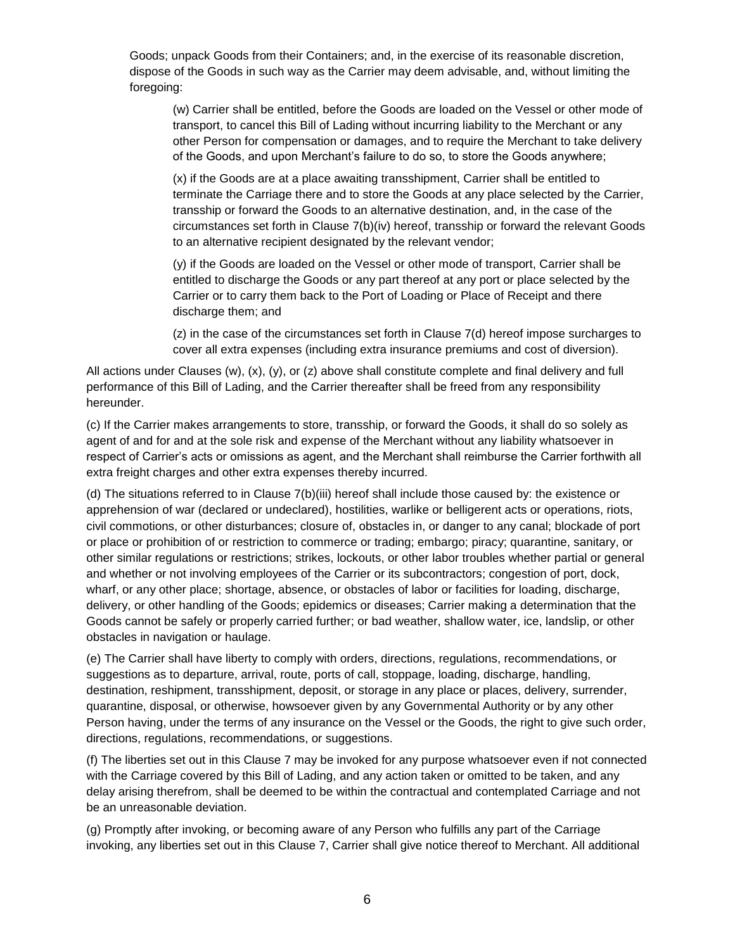Goods; unpack Goods from their Containers; and, in the exercise of its reasonable discretion, dispose of the Goods in such way as the Carrier may deem advisable, and, without limiting the foregoing:

(w) Carrier shall be entitled, before the Goods are loaded on the Vessel or other mode of transport, to cancel this Bill of Lading without incurring liability to the Merchant or any other Person for compensation or damages, and to require the Merchant to take delivery of the Goods, and upon Merchant's failure to do so, to store the Goods anywhere;

(x) if the Goods are at a place awaiting transshipment, Carrier shall be entitled to terminate the Carriage there and to store the Goods at any place selected by the Carrier, transship or forward the Goods to an alternative destination, and, in the case of the circumstances set forth in Clause 7(b)(iv) hereof, transship or forward the relevant Goods to an alternative recipient designated by the relevant vendor;

(y) if the Goods are loaded on the Vessel or other mode of transport, Carrier shall be entitled to discharge the Goods or any part thereof at any port or place selected by the Carrier or to carry them back to the Port of Loading or Place of Receipt and there discharge them; and

(z) in the case of the circumstances set forth in Clause 7(d) hereof impose surcharges to cover all extra expenses (including extra insurance premiums and cost of diversion).

All actions under Clauses (w), (x), (y), or (z) above shall constitute complete and final delivery and full performance of this Bill of Lading, and the Carrier thereafter shall be freed from any responsibility hereunder.

(c) If the Carrier makes arrangements to store, transship, or forward the Goods, it shall do so solely as agent of and for and at the sole risk and expense of the Merchant without any liability whatsoever in respect of Carrier's acts or omissions as agent, and the Merchant shall reimburse the Carrier forthwith all extra freight charges and other extra expenses thereby incurred.

(d) The situations referred to in Clause 7(b)(iii) hereof shall include those caused by: the existence or apprehension of war (declared or undeclared), hostilities, warlike or belligerent acts or operations, riots, civil commotions, or other disturbances; closure of, obstacles in, or danger to any canal; blockade of port or place or prohibition of or restriction to commerce or trading; embargo; piracy; quarantine, sanitary, or other similar regulations or restrictions; strikes, lockouts, or other labor troubles whether partial or general and whether or not involving employees of the Carrier or its subcontractors; congestion of port, dock, wharf, or any other place; shortage, absence, or obstacles of labor or facilities for loading, discharge, delivery, or other handling of the Goods; epidemics or diseases; Carrier making a determination that the Goods cannot be safely or properly carried further; or bad weather, shallow water, ice, landslip, or other obstacles in navigation or haulage.

(e) The Carrier shall have liberty to comply with orders, directions, regulations, recommendations, or suggestions as to departure, arrival, route, ports of call, stoppage, loading, discharge, handling, destination, reshipment, transshipment, deposit, or storage in any place or places, delivery, surrender, quarantine, disposal, or otherwise, howsoever given by any Governmental Authority or by any other Person having, under the terms of any insurance on the Vessel or the Goods, the right to give such order, directions, regulations, recommendations, or suggestions.

(f) The liberties set out in this Clause 7 may be invoked for any purpose whatsoever even if not connected with the Carriage covered by this Bill of Lading, and any action taken or omitted to be taken, and any delay arising therefrom, shall be deemed to be within the contractual and contemplated Carriage and not be an unreasonable deviation.

(g) Promptly after invoking, or becoming aware of any Person who fulfills any part of the Carriage invoking, any liberties set out in this Clause 7, Carrier shall give notice thereof to Merchant. All additional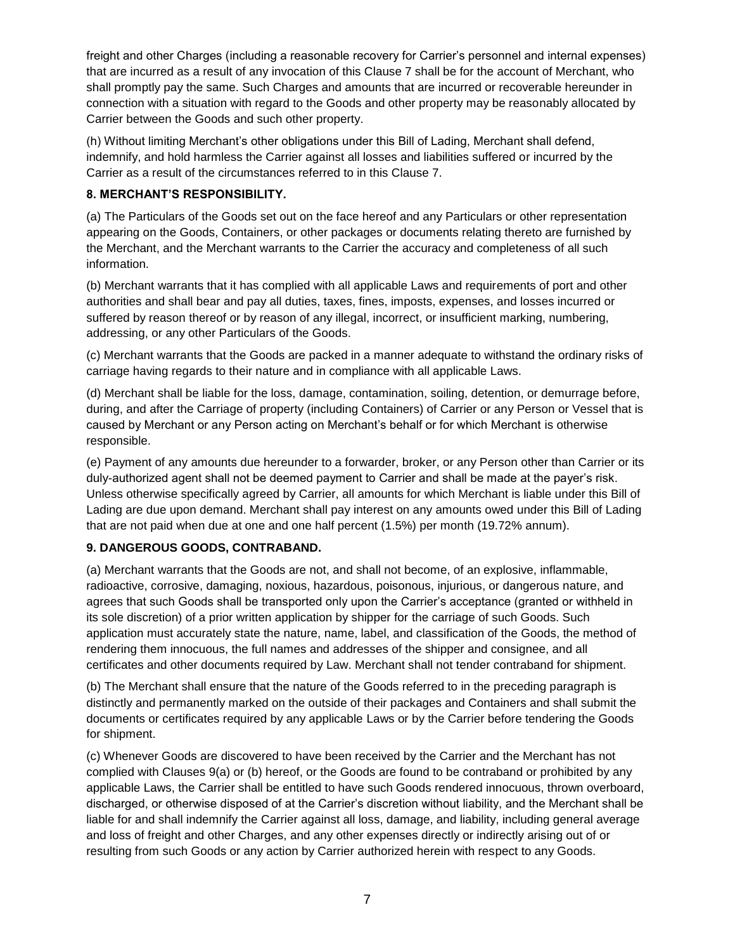freight and other Charges (including a reasonable recovery for Carrier's personnel and internal expenses) that are incurred as a result of any invocation of this Clause 7 shall be for the account of Merchant, who shall promptly pay the same. Such Charges and amounts that are incurred or recoverable hereunder in connection with a situation with regard to the Goods and other property may be reasonably allocated by Carrier between the Goods and such other property.

(h) Without limiting Merchant's other obligations under this Bill of Lading, Merchant shall defend, indemnify, and hold harmless the Carrier against all losses and liabilities suffered or incurred by the Carrier as a result of the circumstances referred to in this Clause 7.

### **8. MERCHANT'S RESPONSIBILITY.**

(a) The Particulars of the Goods set out on the face hereof and any Particulars or other representation appearing on the Goods, Containers, or other packages or documents relating thereto are furnished by the Merchant, and the Merchant warrants to the Carrier the accuracy and completeness of all such information.

(b) Merchant warrants that it has complied with all applicable Laws and requirements of port and other authorities and shall bear and pay all duties, taxes, fines, imposts, expenses, and losses incurred or suffered by reason thereof or by reason of any illegal, incorrect, or insufficient marking, numbering, addressing, or any other Particulars of the Goods.

(c) Merchant warrants that the Goods are packed in a manner adequate to withstand the ordinary risks of carriage having regards to their nature and in compliance with all applicable Laws.

(d) Merchant shall be liable for the loss, damage, contamination, soiling, detention, or demurrage before, during, and after the Carriage of property (including Containers) of Carrier or any Person or Vessel that is caused by Merchant or any Person acting on Merchant's behalf or for which Merchant is otherwise responsible.

(e) Payment of any amounts due hereunder to a forwarder, broker, or any Person other than Carrier or its duly-authorized agent shall not be deemed payment to Carrier and shall be made at the payer's risk. Unless otherwise specifically agreed by Carrier, all amounts for which Merchant is liable under this Bill of Lading are due upon demand. Merchant shall pay interest on any amounts owed under this Bill of Lading that are not paid when due at one and one half percent (1.5%) per month (19.72% annum).

# **9. DANGEROUS GOODS, CONTRABAND.**

(a) Merchant warrants that the Goods are not, and shall not become, of an explosive, inflammable, radioactive, corrosive, damaging, noxious, hazardous, poisonous, injurious, or dangerous nature, and agrees that such Goods shall be transported only upon the Carrier's acceptance (granted or withheld in its sole discretion) of a prior written application by shipper for the carriage of such Goods. Such application must accurately state the nature, name, label, and classification of the Goods, the method of rendering them innocuous, the full names and addresses of the shipper and consignee, and all certificates and other documents required by Law. Merchant shall not tender contraband for shipment.

(b) The Merchant shall ensure that the nature of the Goods referred to in the preceding paragraph is distinctly and permanently marked on the outside of their packages and Containers and shall submit the documents or certificates required by any applicable Laws or by the Carrier before tendering the Goods for shipment.

(c) Whenever Goods are discovered to have been received by the Carrier and the Merchant has not complied with Clauses 9(a) or (b) hereof, or the Goods are found to be contraband or prohibited by any applicable Laws, the Carrier shall be entitled to have such Goods rendered innocuous, thrown overboard, discharged, or otherwise disposed of at the Carrier's discretion without liability, and the Merchant shall be liable for and shall indemnify the Carrier against all loss, damage, and liability, including general average and loss of freight and other Charges, and any other expenses directly or indirectly arising out of or resulting from such Goods or any action by Carrier authorized herein with respect to any Goods.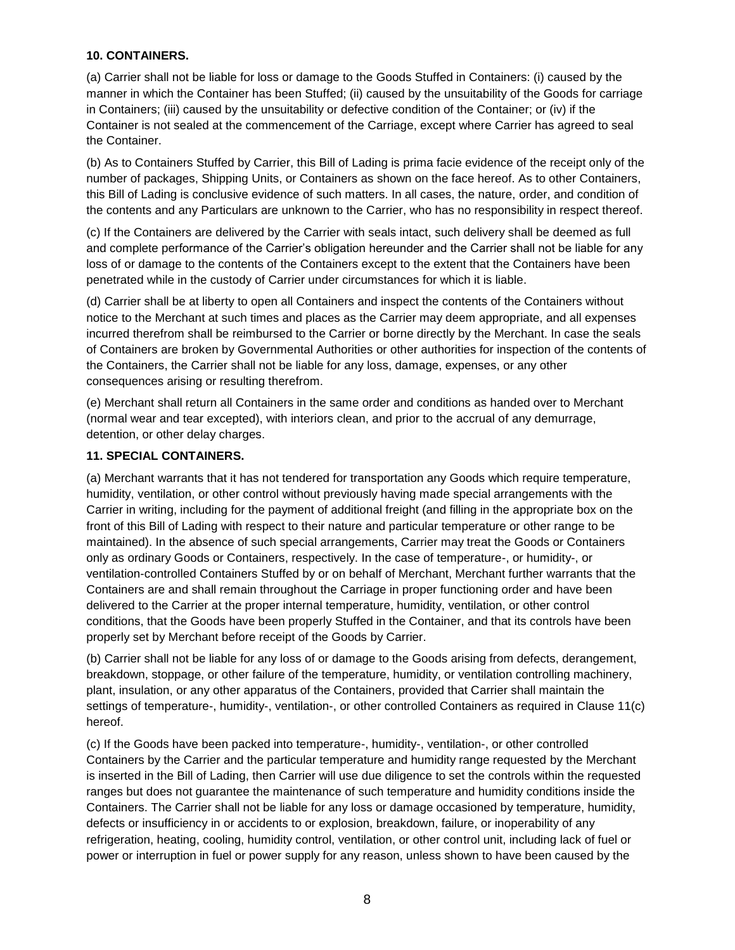### **10. CONTAINERS.**

(a) Carrier shall not be liable for loss or damage to the Goods Stuffed in Containers: (i) caused by the manner in which the Container has been Stuffed; (ii) caused by the unsuitability of the Goods for carriage in Containers; (iii) caused by the unsuitability or defective condition of the Container; or (iv) if the Container is not sealed at the commencement of the Carriage, except where Carrier has agreed to seal the Container.

(b) As to Containers Stuffed by Carrier, this Bill of Lading is prima facie evidence of the receipt only of the number of packages, Shipping Units, or Containers as shown on the face hereof. As to other Containers, this Bill of Lading is conclusive evidence of such matters. In all cases, the nature, order, and condition of the contents and any Particulars are unknown to the Carrier, who has no responsibility in respect thereof.

(c) If the Containers are delivered by the Carrier with seals intact, such delivery shall be deemed as full and complete performance of the Carrier's obligation hereunder and the Carrier shall not be liable for any loss of or damage to the contents of the Containers except to the extent that the Containers have been penetrated while in the custody of Carrier under circumstances for which it is liable.

(d) Carrier shall be at liberty to open all Containers and inspect the contents of the Containers without notice to the Merchant at such times and places as the Carrier may deem appropriate, and all expenses incurred therefrom shall be reimbursed to the Carrier or borne directly by the Merchant. In case the seals of Containers are broken by Governmental Authorities or other authorities for inspection of the contents of the Containers, the Carrier shall not be liable for any loss, damage, expenses, or any other consequences arising or resulting therefrom.

(e) Merchant shall return all Containers in the same order and conditions as handed over to Merchant (normal wear and tear excepted), with interiors clean, and prior to the accrual of any demurrage, detention, or other delay charges.

#### **11. SPECIAL CONTAINERS.**

(a) Merchant warrants that it has not tendered for transportation any Goods which require temperature, humidity, ventilation, or other control without previously having made special arrangements with the Carrier in writing, including for the payment of additional freight (and filling in the appropriate box on the front of this Bill of Lading with respect to their nature and particular temperature or other range to be maintained). In the absence of such special arrangements, Carrier may treat the Goods or Containers only as ordinary Goods or Containers, respectively. In the case of temperature-, or humidity-, or ventilation-controlled Containers Stuffed by or on behalf of Merchant, Merchant further warrants that the Containers are and shall remain throughout the Carriage in proper functioning order and have been delivered to the Carrier at the proper internal temperature, humidity, ventilation, or other control conditions, that the Goods have been properly Stuffed in the Container, and that its controls have been properly set by Merchant before receipt of the Goods by Carrier.

(b) Carrier shall not be liable for any loss of or damage to the Goods arising from defects, derangement, breakdown, stoppage, or other failure of the temperature, humidity, or ventilation controlling machinery, plant, insulation, or any other apparatus of the Containers, provided that Carrier shall maintain the settings of temperature-, humidity-, ventilation-, or other controlled Containers as required in Clause 11(c) hereof.

(c) If the Goods have been packed into temperature-, humidity-, ventilation-, or other controlled Containers by the Carrier and the particular temperature and humidity range requested by the Merchant is inserted in the Bill of Lading, then Carrier will use due diligence to set the controls within the requested ranges but does not guarantee the maintenance of such temperature and humidity conditions inside the Containers. The Carrier shall not be liable for any loss or damage occasioned by temperature, humidity, defects or insufficiency in or accidents to or explosion, breakdown, failure, or inoperability of any refrigeration, heating, cooling, humidity control, ventilation, or other control unit, including lack of fuel or power or interruption in fuel or power supply for any reason, unless shown to have been caused by the